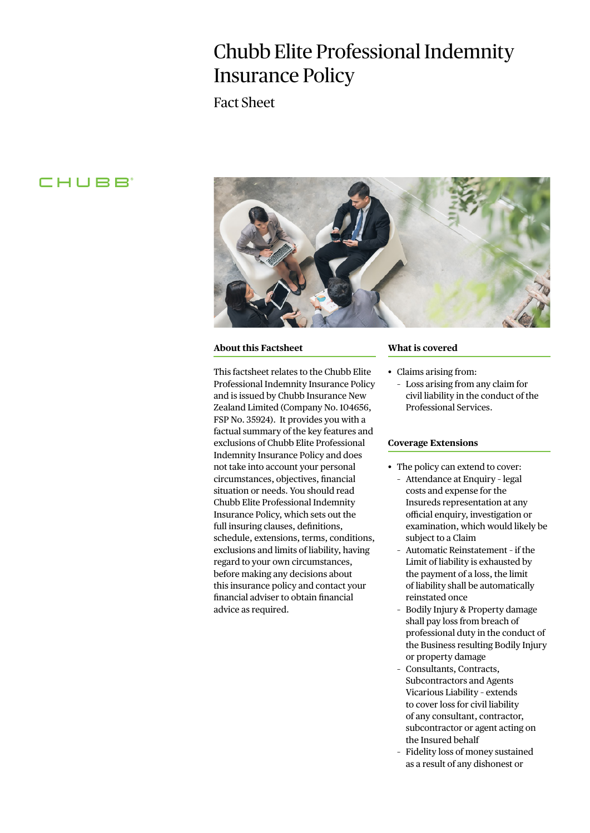# Chubb Elite Professional Indemnity Insurance Policy

Fact Sheet

# CHUBB<sup>®</sup>



#### **About this Factsheet**

This factsheet relates to the Chubb Elite Professional Indemnity Insurance Policy and is issued by Chubb Insurance New Zealand Limited (Company No. 104656, FSP No. 35924). It provides you with a factual summary of the key features and exclusions of Chubb Elite Professional Indemnity Insurance Policy and does not take into account your personal circumstances, objectives, financial situation or needs. You should read Chubb Elite Professional Indemnity Insurance Policy, which sets out the full insuring clauses, definitions, schedule, extensions, terms, conditions, exclusions and limits of liability, having regard to your own circumstances, before making any decisions about this insurance policy and contact your financial adviser to obtain financial advice as required.

### **What is covered**

- Claims arising from:
	- Loss arising from any claim for civil liability in the conduct of the Professional Services.

### **Coverage Extensions**

- The policy can extend to cover:
	- Attendance at Enquiry legal costs and expense for the Insureds representation at any official enquiry, investigation or examination, which would likely be subject to a Claim
	- Automatic Reinstatement if the Limit of liability is exhausted by the payment of a loss, the limit of liability shall be automatically reinstated once
	- Bodily Injury & Property damage shall pay loss from breach of professional duty in the conduct of the Business resulting Bodily Injury or property damage
	- Consultants, Contracts, Subcontractors and Agents Vicarious Liability – extends to cover loss for civil liability of any consultant, contractor, subcontractor or agent acting on the Insured behalf
	- Fidelity loss of money sustained as a result of any dishonest or